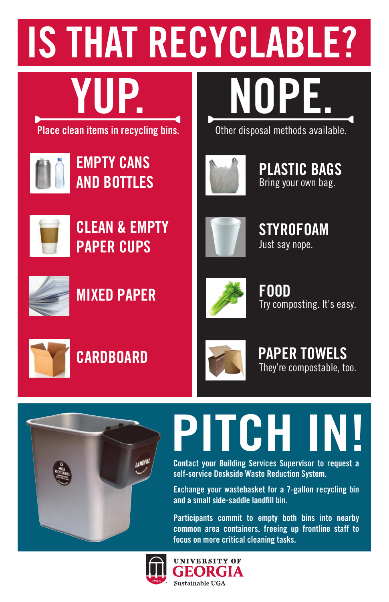### IS THAT RECYCLABLE?

## YUP. NOPE.

**Place clean items in recycling bins.** Other disposal methods available.



EMPTY CANS AND BOTTLES



CLEAN & EMPTY PAPER CUPS





PLASTIC BAGS Bring your own bag.



**STYROFOAM** Just say nope.



MIXED PAPER



FOOD Try composting. It's easy.



### **CARDBOARD**



PAPER TOWELS They're compostable, too.



# PITCH I

Contact your Building Services Supervisor to request a self-service Deskside Waste Reduction System.

Exchange your wastebasket for a 7-gallon recycling bin and a small side-saddle landfill bin.

Participants commit to empty both bins into nearby common area containers, freeing up frontline staff to focus on more critical cleaning tasks.